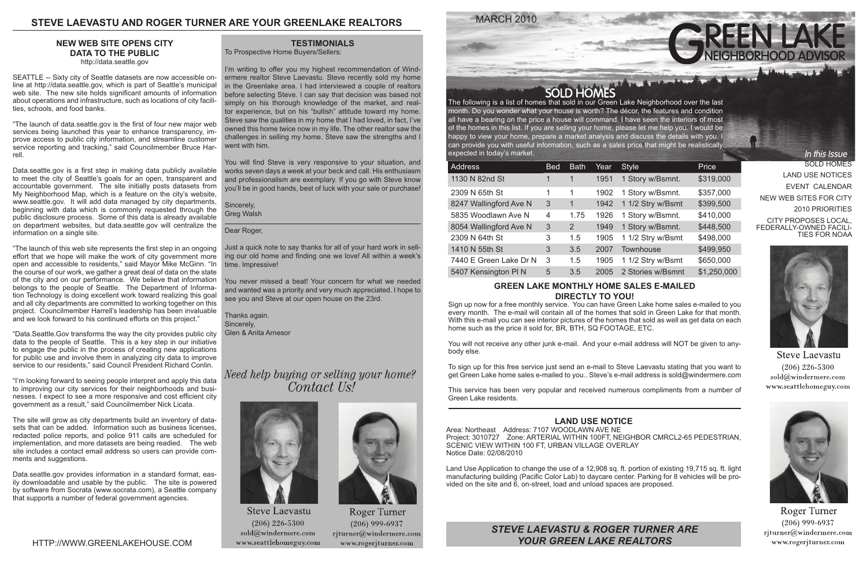MARCH 2010

SOLD HOMES LAND USE NOTICES EVENT CALENDAR NEW WEB SITES FOR CITY 2010 PRIORITIES CITY PROPOSES LOCAL, FEDERALLY-OWNED FACILI-TIES FOR NOAA

In this Issue



**Steve Laevastu**  $(206)$  226-5300 sold@windermere.com www.seattlehomeguy.com



**Roger Turner**  $(206)$  999-6937  $r$ jturner@windermere.com www.rogerjturner.com

SOLD HOMES<br>The following is a list of homes that sold in our Green Lake Neighborhood over the last month. Do you wonder what your house is worth? The décor, the features and condition all have a bearing on the price a house will command. I have seen the interiors of most of the homes in this list. If you are selling your home, please let me help you. I would be happy to view your home, prepare a market analysis and discuss the details with you. I can provide you with useful information, such as a sales price that might be realistically expected in today's market.

| <b>Address</b>         | <b>Bed</b> | <b>Bath</b> | Year | <b>Style</b>      | Price       |
|------------------------|------------|-------------|------|-------------------|-------------|
| 1130 N 82nd St         |            |             | 1951 | 1 Story w/Bsmnt.  | \$319,000   |
| 2309 N 65th St         | 1          | 1           | 1902 | 1 Story w/Bsmnt.  | \$357,000   |
| 8247 Wallingford Ave N | 3          | 1           | 1942 | 1 1/2 Stry w/Bsmt | \$399,500   |
| 5835 Woodlawn Ave N    | 4          | 1.75        | 1926 | 1 Story w/Bsmnt.  | \$410,000   |
| 8054 Wallingford Ave N | 3          | 2           | 1949 | 1 Story w/Bsmnt.  | \$448,500   |
| 2309 N 64th St         | 3          | 1.5         | 1905 | 1 1/2 Stry w/Bsmt | \$498,000   |
| 1410 N 55th St         | 3          | 3.5         | 2007 | <b>Townhouse</b>  | \$499,950   |
| 7440 E Green Lake Dr N | 3          | 1.5         | 1905 | 1 1/2 Stry w/Bsmt | \$650,000   |
| 5407 Kensington PIN    | 5          | 3.5         | 2005 | 2 Stories w/Bsmnt | \$1,250,000 |

# **GREEN LAKE MONTHLY HOME SALES E-MAILED DIRECTLY TO YOU!**

Sign up now for a free monthly service. You can have Green Lake home sales e-mailed to you every month. The e-mail will contain all of the homes that sold in Green Lake for that month. With this e-mail you can see interior pictures of the homes that sold as well as get data on each home such as the price it sold for, BR, BTH, SQ FOOTAGE, ETC.

You will not receive any other junk e-mail. And your e-mail address will NOT be given to anybody else.

To sign up for this free service just send an e-mail to Steve Laevastu stating that you want to get Green Lake home sales e-mailed to you.. Steve's e-mail address is sold@windermere.com

This service has been very popular and received numerous compliments from a number of Green Lake residents.

# **TESTIMONIALS**

To Prospective Home Buyers/Sellers:

I'm writing to offer you my highest recommendation of Windermere realtor Steve Laevastu. Steve recently sold my home in the Greenlake area. I had interviewed a couple of realtors before selecting Steve. I can say that decision was based not simply on his thorough knowledge of the market, and realtor experience, but on his "bullish" attitude toward my home. Steve saw the qualities in my home that I had loved, in fact, I've owned this home twice now in my life. The other realtor saw the challenges in selling my home. Steve saw the strengths and I went with him.

You will find Steve is very responsive to your situation, and works seven days a week at your beck and call. His enthusiasm and professionalism are exemplary. If you go with Steve know you'll be in good hands, best of luck with your sale or purchase!

Sincerely, Greg Walsh

Dear Roger,

Just a quick note to say thanks for all of your hard work in selling our old home and finding one we love! All within a week's time. Impressive!

You never missed a beat! Your concern for what we needed and wanted was a priority and very much appreciated. I hope to see you and Steve at our open house on the 23rd.

Thanks again. Sincerely, Glen & Anita Arnesor

Need help buying or selling your home? Contact Us!



**Steve Laevastu**  $(206)$  226-5300  $\text{solid}(\widehat{a})$ windermere.com www.seattlehomeguy.com



Roger Turner  $(206)$  999-6937 rjturner@windermere.com www.rogerjturner.com



*STEVE LAEVASTU & ROGER TURNER ARE YOUR GREEN LAKE REALTORS*



# **STEVE LAEVASTU AND ROGER TURNER ARE YOUR GREENLAKE REALTORS**

## **LAND USE NOTICE**

Area: Northeast Address: 7107 WOODLAWN AVE NE Project: 3010727 Zone: ARTERIAL WITHIN 100FT, NEIGHBOR CMRCL2-65 PEDESTRIAN, SCENIC VIEW WITHIN 100 FT, URBAN VILLAGE OVERLAY Notice Date: 02/08/2010

Land Use Application to change the use of a 12,908 sq. ft. portion of existing 19,715 sq. ft. light manufacturing building (Pacific Color Lab) to daycare center. Parking for 8 vehicles will be provided on the site and 6, on-street, load and unload spaces are proposed.

# **NEW WEB SITE OPENS CITY DATA TO THE PUBLIC**

http://data.seattle.gov

SEATTLE -- Sixty city of Seattle datasets are now accessible online at http://data.seattle.gov, which is part of Seattle's municipal web site. The new site holds significant amounts of information about operations and infrastructure, such as locations of city facilities, schools, and food banks.

"The launch of data.seattle.gov is the first of four new major web services being launched this year to enhance transparency, improve access to public city information, and streamline customer service reporting and tracking," said Councilmember Bruce Harrell.

Data.seattle.gov is a first step in making data publicly available to meet the city of Seattle's goals for an open, transparent and accountable government. The site initially posts datasets from My Neighborhood Map, which is a feature on the city's website, www.seattle.gov. It will add data managed by city departments, beginning with data which is commonly requested through the public disclosure process. Some of this data is already available on department websites, but data.seattle.gov will centralize the information on a single site.

"The launch of this web site represents the first step in an ongoing effort that we hope will make the work of city government more open and accessible to residents," said Mayor Mike McGinn. "In the course of our work, we gather a great deal of data on the state of the city and on our performance. We believe that information belongs to the people of Seattle. The Department of Information Technology is doing excellent work toward realizing this goal and all city departments are committed to working together on this project. Councilmember Harrell's leadership has been invaluable and we look forward to his continued efforts on this project."

"Data.Seattle.Gov transforms the way the city provides public city data to the people of Seattle. This is a key step in our initiative to engage the public in the process of creating new applications for public use and involve them in analyzing city data to improve service to our residents," said Council President Richard Conlin.

"I'm looking forward to seeing people interpret and apply this data to improving our city services for their neighborhoods and businesses. I expect to see a more responsive and cost efficient city government as a result," said Councilmember Nick Licata.

The site will grow as city departments build an inventory of datasets that can be added. Information such as business licenses, redacted police reports, and police 911 calls are scheduled for implementation, and more datasets are being readied. The web site includes a contact email address so users can provide comments and suggestions.

Data.seattle.gov provides information in a standard format, easily downloadable and usable by the public. The site is powered by software from Socrata (www.socrata.com), a Seattle company that supports a number of federal government agencies.